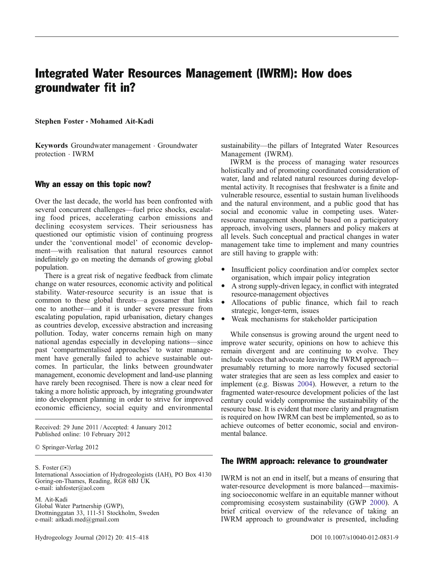# Integrated Water Resources Management (IWRM): How does groundwater fit in?

Stephen Foster · Mohamed Ait-Kadi

Keywords Groundwater management . Groundwater protection . IWRM

#### Why an essay on this topic now?

Over the last decade, the world has been confronted with several concurrent challenges—fuel price shocks, escalating food prices, accelerating carbon emissions and declining ecosystem services. Their seriousness has questioned our optimistic vision of continuing progress under the 'conventional model' of economic development—with realisation that natural resources cannot indefinitely go on meeting the demands of growing global population.

There is a great risk of negative feedback from climate change on water resources, economic activity and political stability. Water-resource security is an issue that is common to these global threats—a gossamer that links one to another—and it is under severe pressure from escalating population, rapid urbanisation, dietary changes as countries develop, excessive abstraction and increasing pollution. Today, water concerns remain high on many national agendas especially in developing nations—since past 'compartmentalised approaches' to water management have generally failed to achieve sustainable outcomes. In particular, the links between groundwater management, economic development and land-use planning have rarely been recognised. There is now a clear need for taking a more holistic approach, by integrating groundwater into development planning in order to strive for improved economic efficiency, social equity and environmental

Received: 29 June 2011 /Accepted: 4 January 2012 Published online: 10 February 2012

 $©$  Springer-Verlag 2012

S. Foster  $(\mathbb{Z})$ International Association of Hydrogeologists (IAH), PO Box 4130 Goring-on-Thames, Reading, RG8 6BJ UK e-mail: iahfoster@aol.com

M. Ait-Kadi Global Water Partnership (GWP), Drottninggatan 33, 111-51 Stockholm, Sweden e-mail: aitkadi.med@gmail.com

Hydrogeology Journal (2012) 20: 415–418 DOI 10.1007/s10040-012-0831-9

sustainability—the pillars of Integrated Water Resources Management (IWRM).

IWRM is the process of managing water resources holistically and of promoting coordinated consideration of water, land and related natural resources during developmental activity. It recognises that freshwater is a finite and vulnerable resource, essential to sustain human livelihoods and the natural environment, and a public good that has social and economic value in competing uses. Waterresource management should be based on a participatory approach, involving users, planners and policy makers at all levels. Such conceptual and practical changes in water management take time to implement and many countries are still having to grapple with:

- & Insufficient policy coordination and/or complex sector organisation, which impair policy integration
- & A strong supply-driven legacy, in conflict with integrated resource-management objectives
- & Allocations of public finance, which fail to reach strategic, longer-term, issues
- & Weak mechanisms for stakeholder participation

While consensus is growing around the urgent need to improve water security, opinions on how to achieve this remain divergent and are continuing to evolve. They include voices that advocate leaving the IWRM approach presumably returning to more narrowly focused sectorial water strategies that are seen as less complex and easier to implement (e.g. Biswas [2004\)](#page-3-0). However, a return to the fragmented water-resource development policies of the last century could widely compromise the sustainability of the resource base. It is evident that more clarity and pragmatism is required on how IWRM can best be implemented, so as to achieve outcomes of better economic, social and environmental balance.

#### The IWRM approach: relevance to groundwater

IWRM is not an end in itself, but a means of ensuring that water-resource development is more balanced—maximising socioeconomic welfare in an equitable manner without compromising ecosystem sustainability (GWP [2000\)](#page-3-0). A brief critical overview of the relevance of taking an IWRM approach to groundwater is presented, including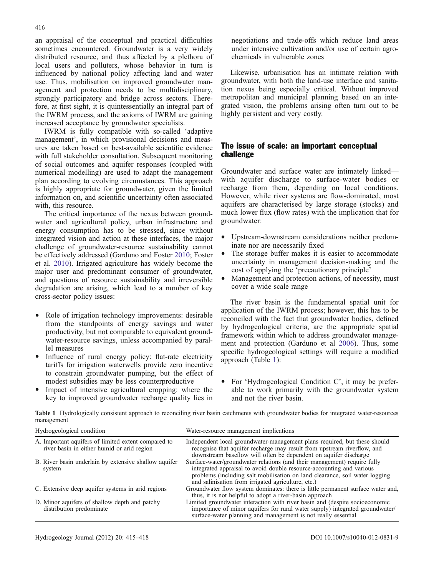an appraisal of the conceptual and practical difficulties sometimes encountered. Groundwater is a very widely distributed resource, and thus affected by a plethora of local users and polluters, whose behavior in turn is influenced by national policy affecting land and water use. Thus, mobilisation on improved groundwater management and protection needs to be multidisciplinary, strongly participatory and bridge across sectors. Therefore, at first sight, it is quintessentially an integral part of the IWRM process, and the axioms of IWRM are gaining increased acceptance by groundwater specialists.

IWRM is fully compatible with so-called 'adaptive management', in which provisional decisions and measures are taken based on best-available scientific evidence with full stakeholder consultation. Subsequent monitoring of social outcomes and aquifer responses (coupled with numerical modelling) are used to adapt the management plan according to evolving circumstances. This approach is highly appropriate for groundwater, given the limited information on, and scientific uncertainty often associated with, this resource.

The critical importance of the nexus between groundwater and agricultural policy, urban infrastructure and energy consumption has to be stressed, since without integrated vision and action at these interfaces, the major challenge of groundwater-resource sustainability cannot be effectively addressed (Garduno and Foster [2010;](#page-3-0) Foster et al. [2010\)](#page-3-0). Irrigated agriculture has widely become the major user and predominant consumer of groundwater, and questions of resource sustainability and irreversible degradation are arising, which lead to a number of key cross-sector policy issues:

- Role of irrigation technology improvements: desirable from the standpoints of energy savings and water productivity, but not comparable to equivalent groundwater-resource savings, unless accompanied by parallel measures
- & Influence of rural energy policy: flat-rate electricity tariffs for irrigation waterwells provide zero incentive to constrain groundwater pumping, but the effect of modest subsidies may be less counterproductive
- & Impact of intensive agricultural cropping: where the key to improved groundwater recharge quality lies in

negotiations and trade-offs which reduce land areas under intensive cultivation and/or use of certain agrochemicals in vulnerable zones

Likewise, urbanisation has an intimate relation with groundwater, with both the land-use interface and sanitation nexus being especially critical. Without improved metropolitan and municipal planning based on an integrated vision, the problems arising often turn out to be highly persistent and very costly.

### The issue of scale: an important conceptual challenge

Groundwater and surface water are intimately linked with aquifer discharge to surface-water bodies or recharge from them, depending on local conditions. However, while river systems are flow-dominated, most aquifers are characterised by large storage (stocks) and much lower flux (flow rates) with the implication that for groundwater:

- & Upstream-downstream considerations neither predominate nor are necessarily fixed
- The storage buffer makes it is easier to accommodate uncertainty in management decision-making and the cost of applying the 'precautionary principle'
- & Management and protection actions, of necessity, must cover a wide scale range

The river basin is the fundamental spatial unit for application of the IWRM process; however, this has to be reconciled with the fact that groundwater bodies, defined by hydrogeological criteria, are the appropriate spatial framework within which to address groundwater management and protection (Garduno et al [2006\)](#page-3-0). Thus, some specific hydrogeological settings will require a modified approach (Table 1):

• For 'Hydrogeological Condition C', it may be preferable to work primarily with the groundwater system and not the river basin.

Table 1 Hydrologically consistent approach to reconciling river basin catchments with groundwater bodies for integrated water-resources management

| Hydrogeological condition                                                                         | Water-resource management implications                                                                                                                                                                                                                                                |
|---------------------------------------------------------------------------------------------------|---------------------------------------------------------------------------------------------------------------------------------------------------------------------------------------------------------------------------------------------------------------------------------------|
| A. Important aquifers of limited extent compared to<br>river basin in either humid or arid region | Independent local groundwater-management plans required, but these should<br>recognise that aquifer recharge may result from upstream riverflow, and<br>downstream baseflow will often be dependent on aquifer discharge                                                              |
| B. River basin underlain by extensive shallow aquifer<br>system                                   | Surface-water/groundwater relations (and their management) require fully<br>integrated appraisal to avoid double resource-accounting and various<br>problems (including salt mobilisation on land clearance, soil water logging<br>and salinisation from irrigated agriculture, etc.) |
| C. Extensive deep aquifer systems in arid regions                                                 | Groundwater flow system dominates: there is little permanent surface water and,<br>thus, it is not helpful to adopt a river-basin approach                                                                                                                                            |
| D. Minor aquifers of shallow depth and patchy<br>distribution predominate                         | Limited groundwater interaction with river basin and (despite socioeconomic<br>importance of minor aquifers for rural water supply) integrated groundwater/<br>surface-water planning and management is not really essential                                                          |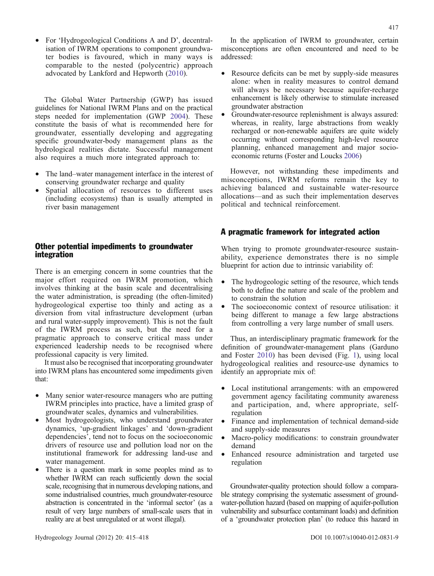& For 'Hydrogeological Conditions A and D', decentralisation of IWRM operations to component groundwater bodies is favoured, which in many ways is comparable to the nested (polycentric) approach advocated by Lankford and Hepworth ([2010\)](#page-3-0).

The Global Water Partnership (GWP) has issued guidelines for National IWRM Plans and on the practical steps needed for implementation (GWP [2004\)](#page-3-0). These constitute the basis of what is recommended here for groundwater, essentially developing and aggregating specific groundwater-body management plans as the hydrological realities dictate. Successful management also requires a much more integrated approach to:

- & The land–water management interface in the interest of conserving groundwater recharge and quality
- Spatial allocation of resources to different uses (including ecosystems) than is usually attempted in river basin management

### Other potential impediments to groundwater integration

There is an emerging concern in some countries that the major effort required on IWRM promotion, which involves thinking at the basin scale and decentralising the water administration, is spreading (the often-limited) hydrogeological expertise too thinly and acting as a diversion from vital infrastructure development (urban and rural water-supply improvement). This is not the fault of the IWRM process as such, but the need for a pragmatic approach to conserve critical mass under experienced leadership needs to be recognised where professional capacity is very limited.

It must also be recognised that incorporating groundwater into IWRM plans has encountered some impediments given that:

- & Many senior water-resource managers who are putting IWRM principles into practice, have a limited grasp of groundwater scales, dynamics and vulnerabilities.
- Most hydrogeologists, who understand groundwater dynamics, 'up-gradient linkages' and 'down-gradient dependencies', tend not to focus on the socioeconomic drivers of resource use and pollution load nor on the institutional framework for addressing land-use and water management.
- There is a question mark in some peoples mind as to whether IWRM can reach sufficiently down the social scale, recognising that in numerous developing nations, and some industrialised countries, much groundwater-resource abstraction is concentrated in the 'informal sector' (as a result of very large numbers of small-scale users that in reality are at best unregulated or at worst illegal).

In the application of IWRM to groundwater, certain misconceptions are often encountered and need to be addressed:

- & Resource deficits can be met by supply-side measures alone: when in reality measures to control demand will always be necessary because aquifer-recharge enhancement is likely otherwise to stimulate increased groundwater abstraction
- Groundwater-resource replenishment is always assured: whereas, in reality, large abstractions from weakly recharged or non-renewable aquifers are quite widely occurring without corresponding high-level resource planning, enhanced management and major socioeconomic returns (Foster and Loucks [2006](#page-3-0))

However, not withstanding these impediments and misconceptions, IWRM reforms remain the key to achieving balanced and sustainable water-resource allocations—and as such their implementation deserves political and technical reinforcement.

## A pragmatic framework for integrated action

When trying to promote groundwater-resource sustainability, experience demonstrates there is no simple blueprint for action due to intrinsic variability of:

- The hydrogeologic setting of the resource, which tends both to define the nature and scale of the problem and to constrain the solution
- The socioeconomic context of resource utilisation: it being different to manage a few large abstractions from controlling a very large number of small users.

Thus, an interdisciplinary pragmatic framework for the definition of groundwater-management plans (Garduno and Foster [2010\)](#page-3-0) has been devised (Fig. [1\)](#page-3-0), using local hydrogeological realities and resource-use dynamics to identify an appropriate mix of:

- & Local institutional arrangements: with an empowered government agency facilitating community awareness and participation, and, where appropriate, selfregulation
- Finance and implementation of technical demand-side and supply-side measures
- Macro-policy modifications: to constrain groundwater demand
- Enhanced resource administration and targeted use regulation

Groundwater-quality protection should follow a comparable strategy comprising the systematic assessment of groundwater-pollution hazard (based on mapping of aquifer-pollution vulnerability and subsurface contaminant loads) and definition of a 'groundwater protection plan' (to reduce this hazard in